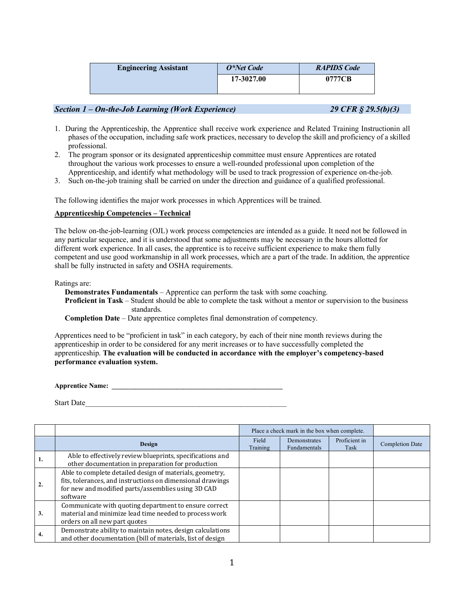| <b>Engineering Assistant</b> | O*Net Code | <b>RAPIDS Code</b> |  |  |  |
|------------------------------|------------|--------------------|--|--|--|
|                              | 17-3027.00 | 0777CB             |  |  |  |

# *Section 1 – On-the-Job Learning (Work Experience) 29 CFR § 29.5(b)(3)*

- 1. During the Apprenticeship, the Apprentice shall receive work experience and Related Training Instructionin all phases of the occupation, including safe work practices, necessary to develop the skill and proficiency of a skilled professional.
- 2. The program sponsor or its designated apprenticeship committee must ensure Apprentices are rotated throughout the various work processes to ensure a well-rounded professional upon completion of the Apprenticeship, and identify what methodology will be used to track progression of experience on-the-job.
- 3. Such on-the-job training shall be carried on under the direction and guidance of a qualified professional.

The following identifies the major work processes in which Apprentices will be trained.

## **Apprenticeship Competencies – Technical**

The below on-the-job-learning (OJL) work process competencies are intended as a guide. It need not be followed in any particular sequence, and it is understood that some adjustments may be necessary in the hours allotted for different work experience. In all cases, the apprentice is to receive sufficient experience to make them fully competent and use good workmanship in all work processes, which are a part of the trade. In addition, the apprentice shall be fully instructed in safety and OSHA requirements.

Ratings are:

**Demonstrates Fundamentals** – Apprentice can perform the task with some coaching. **Proficient in Task** – Student should be able to complete the task without a mentor or supervision to the business standards.

**Completion Date** – Date apprentice completes final demonstration of competency.

Apprentices need to be "proficient in task" in each category, by each of their nine month reviews during the apprenticeship in order to be considered for any merit increases or to have successfully completed the apprenticeship. **The evaluation will be conducted in accordance with the employer's competency-based performance evaluation system.**

**Apprentice Name: \_\_\_\_\_\_\_\_\_\_\_\_\_\_\_\_\_\_\_\_\_\_\_\_\_\_\_\_\_\_\_\_\_\_\_\_\_\_\_\_\_\_\_\_\_\_\_\_\_\_**

Start Date

|    |                                                                                                                                                                                          | Place a check mark in the box when complete. |                                     |                       |                        |
|----|------------------------------------------------------------------------------------------------------------------------------------------------------------------------------------------|----------------------------------------------|-------------------------------------|-----------------------|------------------------|
|    | Design                                                                                                                                                                                   | Field<br>Training                            | Demonstrates<br><b>Fundamentals</b> | Proficient in<br>Task | <b>Completion Date</b> |
|    | Able to effectively review blueprints, specifications and<br>other documentation in preparation for production                                                                           |                                              |                                     |                       |                        |
| 2. | Able to complete detailed design of materials, geometry,<br>fits, tolerances, and instructions on dimensional drawings<br>for new and modified parts/assemblies using 3D CAD<br>software |                                              |                                     |                       |                        |
| 3. | Communicate with quoting department to ensure correct<br>material and minimize lead time needed to process work<br>orders on all new part quotes                                         |                                              |                                     |                       |                        |
| 4. | Demonstrate ability to maintain notes, design calculations<br>and other documentation (bill of materials, list of design                                                                 |                                              |                                     |                       |                        |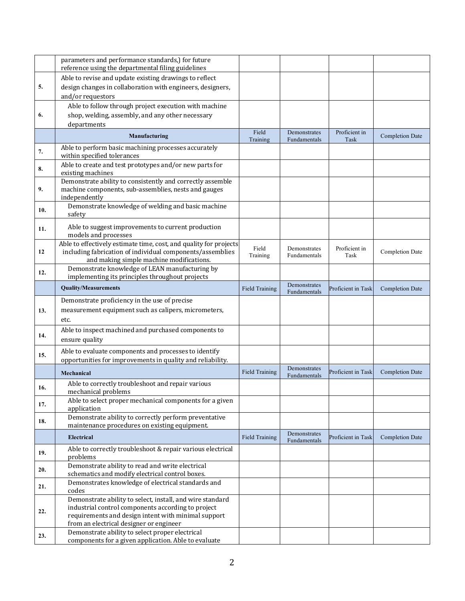|     | parameters and performance standards,) for future<br>reference using the departmental filing guidelines |                       |                              |                       |                        |
|-----|---------------------------------------------------------------------------------------------------------|-----------------------|------------------------------|-----------------------|------------------------|
|     | Able to revise and update existing drawings to reflect                                                  |                       |                              |                       |                        |
| 5.  | design changes in collaboration with engineers, designers,                                              |                       |                              |                       |                        |
|     | and/or requestors                                                                                       |                       |                              |                       |                        |
|     |                                                                                                         |                       |                              |                       |                        |
|     | Able to follow through project execution with machine                                                   |                       |                              |                       |                        |
| 6.  | shop, welding, assembly, and any other necessary                                                        |                       |                              |                       |                        |
|     | departments                                                                                             |                       |                              |                       |                        |
|     | Manufacturing                                                                                           | Field<br>Training     | Demonstrates<br>Fundamentals | Proficient in<br>Task | <b>Completion Date</b> |
| 7.  | Able to perform basic machining processes accurately                                                    |                       |                              |                       |                        |
|     | within specified tolerances                                                                             |                       |                              |                       |                        |
| 8.  | Able to create and test prototypes and/or new parts for<br>existing machines                            |                       |                              |                       |                        |
|     | Demonstrate ability to consistently and correctly assemble                                              |                       |                              |                       |                        |
| 9.  | machine components, sub-assemblies, nests and gauges                                                    |                       |                              |                       |                        |
|     | independently                                                                                           |                       |                              |                       |                        |
| 10. | Demonstrate knowledge of welding and basic machine<br>safety                                            |                       |                              |                       |                        |
| 11. | Able to suggest improvements to current production<br>models and processes                              |                       |                              |                       |                        |
|     | Able to effectively estimate time, cost, and quality for projects                                       |                       |                              |                       |                        |
| 12  | including fabrication of individual components/assemblies                                               | Field                 | Demonstrates                 | Proficient in         | <b>Completion Date</b> |
|     | and making simple machine modifications.                                                                | Training              | Fundamentals                 | Task                  |                        |
| 12. | Demonstrate knowledge of LEAN manufacturing by                                                          |                       |                              |                       |                        |
|     | implementing its principles throughout projects                                                         |                       |                              |                       |                        |
|     | <b>Quality/Measurements</b>                                                                             | <b>Field Training</b> | Demonstrates<br>Fundamentals | Proficient in Task    | <b>Completion Date</b> |
|     | Demonstrate proficiency in the use of precise                                                           |                       |                              |                       |                        |
| 13. | measurement equipment such as calipers, micrometers,                                                    |                       |                              |                       |                        |
|     | etc.                                                                                                    |                       |                              |                       |                        |
|     | Able to inspect machined and purchased components to                                                    |                       |                              |                       |                        |
| 14. | ensure quality                                                                                          |                       |                              |                       |                        |
|     | Able to evaluate components and processes to identify                                                   |                       |                              |                       |                        |
| 15. |                                                                                                         |                       |                              |                       |                        |
|     | opportunities for improvements in quality and reliability.                                              |                       | Demonstrates                 |                       |                        |
|     | Mechanical                                                                                              | <b>Field Training</b> | Fundamentals                 | Proficient in Task    | <b>Completion Date</b> |
| 16. | Able to correctly troubleshoot and repair various                                                       |                       |                              |                       |                        |
|     | mechanical problems                                                                                     |                       |                              |                       |                        |
| 17. | Able to select proper mechanical components for a given                                                 |                       |                              |                       |                        |
|     | application                                                                                             |                       |                              |                       |                        |
| 18. | Demonstrate ability to correctly perform preventative                                                   |                       |                              |                       |                        |
|     | maintenance procedures on existing equipment.                                                           |                       |                              |                       |                        |
|     | <b>Electrical</b>                                                                                       | Field Training        | Demonstrates<br>Fundamentals | Proficient in Task    | <b>Completion Date</b> |
| 19. | Able to correctly troubleshoot & repair various electrical<br>problems                                  |                       |                              |                       |                        |
| 20. | Demonstrate ability to read and write electrical<br>schematics and modify electrical control boxes.     |                       |                              |                       |                        |
|     | Demonstrates knowledge of electrical standards and                                                      |                       |                              |                       |                        |
| 21. | codes                                                                                                   |                       |                              |                       |                        |
|     | Demonstrate ability to select, install, and wire standard                                               |                       |                              |                       |                        |
| 22. | industrial control components according to project                                                      |                       |                              |                       |                        |
|     | requirements and design intent with minimal support                                                     |                       |                              |                       |                        |
|     | from an electrical designer or engineer                                                                 |                       |                              |                       |                        |
| 23. | Demonstrate ability to select proper electrical                                                         |                       |                              |                       |                        |
|     | components for a given application. Able to evaluate                                                    |                       |                              |                       |                        |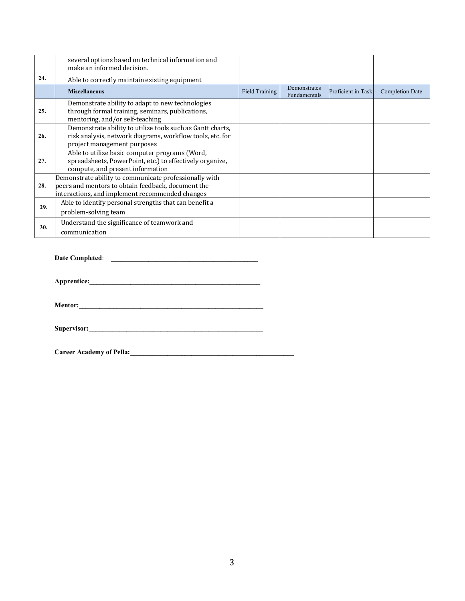|     | several options based on technical information and<br>make an informed decision.                                                                                |                |                              |                    |                 |
|-----|-----------------------------------------------------------------------------------------------------------------------------------------------------------------|----------------|------------------------------|--------------------|-----------------|
| 24. | Able to correctly maintain existing equipment                                                                                                                   |                |                              |                    |                 |
|     | <b>Miscellaneous</b>                                                                                                                                            | Field Training | Demonstrates<br>Fundamentals | Proficient in Task | Completion Date |
| 25. | Demonstrate ability to adapt to new technologies<br>through formal training, seminars, publications,<br>mentoring, and/or self-teaching                         |                |                              |                    |                 |
| 26. | Demonstrate ability to utilize tools such as Gantt charts,<br>risk analysis, network diagrams, workflow tools, etc. for<br>project management purposes          |                |                              |                    |                 |
| 27. | Able to utilize basic computer programs (Word,<br>spreadsheets, PowerPoint, etc.) to effectively organize,<br>compute, and present information                  |                |                              |                    |                 |
| 28. | Demonstrate ability to communicate professionally with<br>peers and mentors to obtain feedback, document the<br>interactions, and implement recommended changes |                |                              |                    |                 |
| 29. | Able to identify personal strengths that can benefit a<br>problem-solving team                                                                                  |                |                              |                    |                 |
| 30. | Understand the significance of teamwork and<br>communication                                                                                                    |                |                              |                    |                 |

**Date Completed**: \_\_\_\_\_\_\_\_\_\_\_\_\_\_\_\_\_\_\_\_\_\_\_\_\_\_\_\_\_\_\_\_\_\_\_\_\_\_\_\_\_\_\_

**Apprentice:\_\_\_\_\_\_\_\_\_\_\_\_\_\_\_\_\_\_\_\_\_\_\_\_\_\_\_\_\_\_\_\_\_\_\_\_\_\_\_\_\_\_\_\_\_\_\_\_\_\_**

**Mentor:\_\_\_\_\_\_\_\_\_\_\_\_\_\_\_\_\_\_\_\_\_\_\_\_\_\_\_\_\_\_\_\_\_\_\_\_\_\_\_\_\_\_\_\_\_\_\_\_\_\_\_\_\_\_**

**Supervisor:\_\_\_\_\_\_\_\_\_\_\_\_\_\_\_\_\_\_\_\_\_\_\_\_\_\_\_\_\_\_\_\_\_\_\_\_\_\_\_\_\_\_\_\_\_\_\_\_\_\_\_**

**Career Academy of Pella:\_\_\_\_\_\_\_\_\_\_\_\_\_\_\_\_\_\_\_\_\_\_\_\_\_\_\_\_\_\_\_\_\_\_\_\_\_\_\_\_\_\_\_\_\_\_\_\_**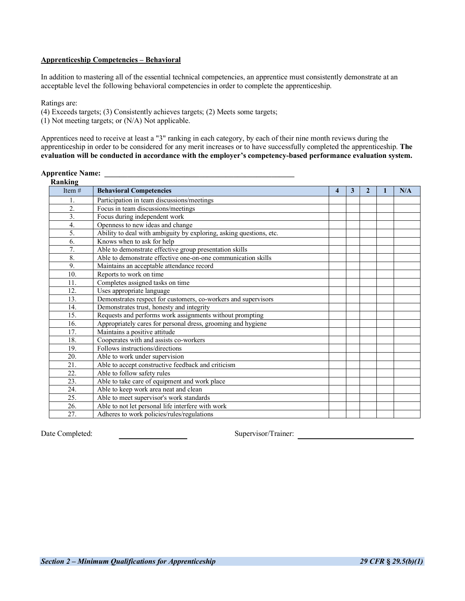## **Apprenticeship Competencies – Behavioral**

In addition to mastering all of the essential technical competencies, an apprentice must consistently demonstrate at an acceptable level the following behavioral competencies in order to complete the apprenticeship.

Ratings are:

(4) Exceeds targets; (3) Consistently achieves targets; (2) Meets some targets;

(1) Not meeting targets; or (N/A) Not applicable.

Apprentices need to receive at least a "3" ranking in each category, by each of their nine month reviews during the apprenticeship in order to be considered for any merit increases or to have successfully completed the apprenticeship. **The evaluation will be conducted in accordance with the employer's competency-based performance evaluation system.**

| Ranking          |                                                                     |   |   |   |     |
|------------------|---------------------------------------------------------------------|---|---|---|-----|
| Item $#$         | <b>Behavioral Competencies</b>                                      | 4 | 3 | 2 | N/A |
|                  | Participation in team discussions/meetings                          |   |   |   |     |
| $\overline{2}$ . | Focus in team discussions/meetings                                  |   |   |   |     |
| $\overline{3}$ . | Focus during independent work                                       |   |   |   |     |
| $\overline{4}$ . | Openness to new ideas and change                                    |   |   |   |     |
| 5.               | Ability to deal with ambiguity by exploring, asking questions, etc. |   |   |   |     |
| 6.               | Knows when to ask for help                                          |   |   |   |     |
| $\overline{7}$ . | Able to demonstrate effective group presentation skills             |   |   |   |     |
| 8.               | Able to demonstrate effective one-on-one communication skills       |   |   |   |     |
| 9.               | Maintains an acceptable attendance record                           |   |   |   |     |
| 10.              | Reports to work on time                                             |   |   |   |     |
| 11.              | Completes assigned tasks on time                                    |   |   |   |     |
| 12.              | Uses appropriate language                                           |   |   |   |     |
| 13.              | Demonstrates respect for customers, co-workers and supervisors      |   |   |   |     |
| 14.              | Demonstrates trust, honesty and integrity                           |   |   |   |     |
| 15.              | Requests and performs work assignments without prompting            |   |   |   |     |
| 16.              | Appropriately cares for personal dress, grooming and hygiene        |   |   |   |     |
| 17.              | Maintains a positive attitude                                       |   |   |   |     |
| 18.              | Cooperates with and assists co-workers                              |   |   |   |     |
| 19.              | Follows instructions/directions                                     |   |   |   |     |
| 20.              | Able to work under supervision                                      |   |   |   |     |
| 21.              | Able to accept constructive feedback and criticism                  |   |   |   |     |
| 22.              | Able to follow safety rules                                         |   |   |   |     |
| 23.              | Able to take care of equipment and work place                       |   |   |   |     |
| 24.              | Able to keep work area neat and clean                               |   |   |   |     |
| 25.              | Able to meet supervisor's work standards                            |   |   |   |     |
| 26.              | Able to not let personal life interfere with work                   |   |   |   |     |
| 27.              | Adheres to work policies/rules/regulations                          |   |   |   |     |
|                  |                                                                     |   |   |   |     |

## **Apprentice Name: \_\_\_\_\_\_\_\_\_\_\_\_\_\_\_\_\_\_\_\_\_\_\_\_\_\_\_\_\_\_\_\_\_\_\_\_\_\_\_\_\_\_\_\_\_\_\_\_\_\_**

Date Completed: Supervisor/Trainer: